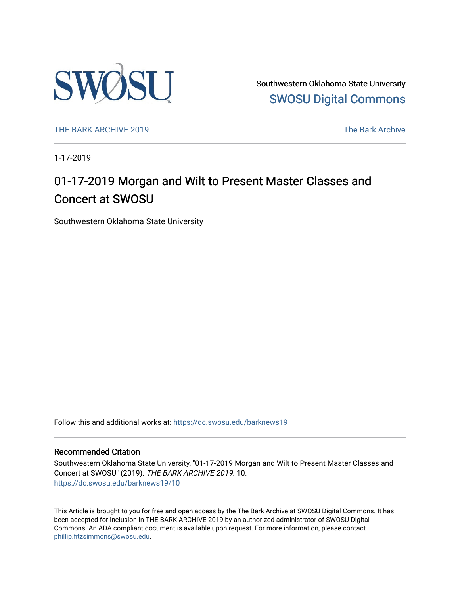

Southwestern Oklahoma State University [SWOSU Digital Commons](https://dc.swosu.edu/) 

[THE BARK ARCHIVE 2019](https://dc.swosu.edu/barknews19) The Bark Archive

1-17-2019

## 01-17-2019 Morgan and Wilt to Present Master Classes and Concert at SWOSU

Southwestern Oklahoma State University

Follow this and additional works at: [https://dc.swosu.edu/barknews19](https://dc.swosu.edu/barknews19?utm_source=dc.swosu.edu%2Fbarknews19%2F10&utm_medium=PDF&utm_campaign=PDFCoverPages)

#### Recommended Citation

Southwestern Oklahoma State University, "01-17-2019 Morgan and Wilt to Present Master Classes and Concert at SWOSU" (2019). THE BARK ARCHIVE 2019. 10. [https://dc.swosu.edu/barknews19/10](https://dc.swosu.edu/barknews19/10?utm_source=dc.swosu.edu%2Fbarknews19%2F10&utm_medium=PDF&utm_campaign=PDFCoverPages) 

This Article is brought to you for free and open access by the The Bark Archive at SWOSU Digital Commons. It has been accepted for inclusion in THE BARK ARCHIVE 2019 by an authorized administrator of SWOSU Digital Commons. An ADA compliant document is available upon request. For more information, please contact [phillip.fitzsimmons@swosu.edu](mailto:phillip.fitzsimmons@swosu.edu).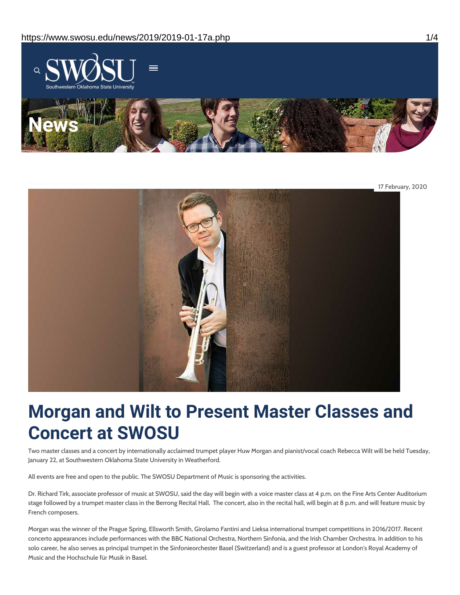

17 February, 2020

# **Morgan and Wilt to Present Master Classes and Concert at SWOSU**

Two master classes and a concert by internationally acclaimed trumpet player Huw Morgan and pianist/vocal coach Rebecca Wilt will be held Tuesday, January 22, at Southwestern Oklahoma State University in Weatherford.

All events are free and open to the public. The SWOSU Department of Music is sponsoring the activities.

Dr. Richard Tirk, associate professor of music at SWOSU, said the day will begin with a voice master class at 4 p.m. on the Fine Arts Center Auditorium stage followed by a trumpet master class in the Berrong Recital Hall. The concert, also in the recital hall, will begin at 8 p.m. and will feature music by French composers.

Morgan was the winner of the Prague Spring, Ellsworth Smith, Girolamo Fantini and Lieksa international trumpet competitions in 2016/2017. Recent concerto appearances include performances with the BBC National Orchestra, Northern Sinfonia, and the Irish Chamber Orchestra. In addition to his solo career, he also serves as principal trumpet in the Sinfonieorchester Basel (Switzerland) and is a guest professor at London's Royal Academy of Music and the Hochschule für Musik in Basel.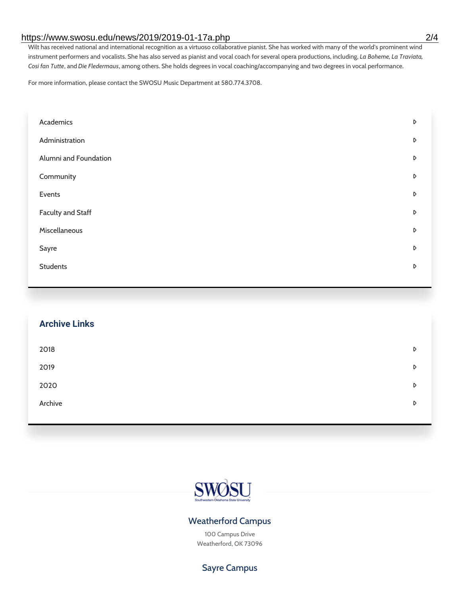#### https://www.swosu.edu/news/2019/2019-01-17a.php 2/4

Wilt has received national and international recognition as a virtuoso collaborative pianist. She has worked with many of the world's prominent wind instrument performers and vocalists. She has also served as pianist and vocal coach for several opera productions, including, *La Boheme, La Traviata, Cosi fan Tutte*, and*Die Fledermaus*, among others. She holds degrees in vocal coaching/accompanying and two degrees in vocal performance.

For more information, please contact the SWOSU Music Department at 580.774.3708.

| Academics                | D |
|--------------------------|---|
| Administration           | D |
| Alumni and Foundation    | D |
| Community                | D |
| Events                   | D |
| <b>Faculty and Staff</b> | D |
| Miscellaneous            | D |
| Sayre                    | D |
| <b>Students</b>          | D |
|                          |   |

| <b>Archive Links</b> |                  |
|----------------------|------------------|
| 2018                 | D                |
| 2019                 | D                |
| 2020                 | D                |
| Archive              | $\triangleright$ |
|                      |                  |



#### Weatherford Campus

100 Campus Drive Weatherford, OK 73096

Sayre Campus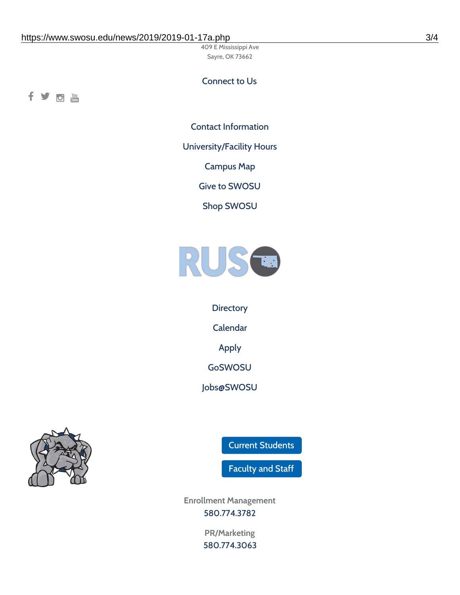409 E Mississippi Ave Sayre, OK 73662

### Connect to Us

fyom

Contact [Information](https://www.swosu.edu/about/contact.php)

[University/Facility](https://www.swosu.edu/about/operating-hours.php) Hours

[Campus](https://map.concept3d.com/?id=768#!ct/10964,10214,10213,10212,10205,10204,10203,10202,10136,10129,10128,0,31226,10130,10201,10641,0) Map

Give to [SWOSU](https://standingfirmly.com/donate)

Shop [SWOSU](https://shopswosu.merchorders.com/)



**[Directory](https://www.swosu.edu/directory/index.php)** [Calendar](https://eventpublisher.dudesolutions.com/swosu/) [Apply](https://www.swosu.edu/admissions/apply-to-swosu.php) [GoSWOSU](https://qlsso.quicklaunchsso.com/home/1267) [Jobs@SWOSU](https://swosu.csod.com/ux/ats/careersite/1/home?c=swosu)



Current [Students](https://bulldog.swosu.edu/index.php)

[Faculty](https://bulldog.swosu.edu/faculty-staff/index.php) and Staff

**Enrollment Management** [580.774.3782](tel:5807743782)

> **PR/Marketing** [580.774.3063](tel:5807743063)